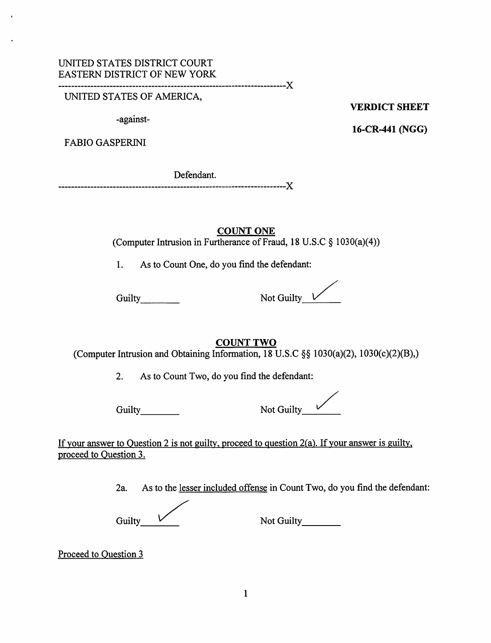UNITED STATES OF AMERICA,

-against-

VERDICT SHEET

16-CR-441 (NGG)

FABIO GASPERINI

Defendant. -X

> COUNT ONE (Computer Intrusion in Furtherance of Fraud, 18 U.S.C § 1030(a)(4))

1. As to Count One, do you find the defendant:

Guilty Not Guilty V

COUNT TWO

(Computer Intrusion and Obtaining Information, 18 U.S.C §§ 1030(a)(2), 1030(c)(2)(B),)

2. As to Count Two, do you find the defendant:

Guilty Not Guilty Not Guilty Community Community Community Community Community Community Community Community Community Community Community Community Community Community Community Community Community Community Community Com

If your answer to Question 2 is not guilty, proceed to question 2(a). If your answer is guilty, proceed to Ouestion 3.

2a. As to the lesser included offense in Count Two, do you find the defendant:

Guilty\_ Not Guilty\_

Proceed to Ouestion 3